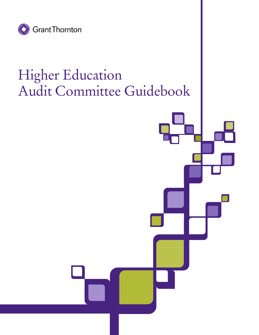

## Higher Education Audit Committee Guidebook

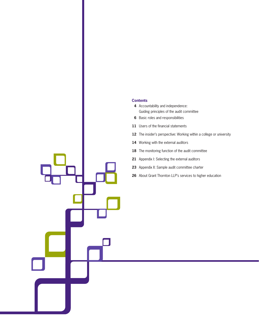#### **Contents**

- Accountability and independence: Guiding principles of the audit committee
- Basic roles and responsibilities
- Users of the financial statements
- The insider's perspective: Working within a college or university
- 14 Working with the external auditors
- 18 The monitoring function of the audit committee
- Appendix I: Selecting the external auditors
- Appendix II: Sample audit committee charter
- About Grant Thornton LLP's services to higher education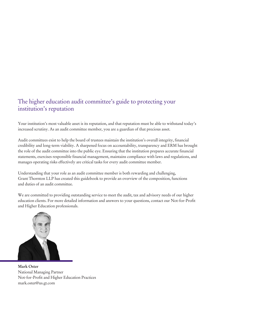## The higher education audit committee's guide to protecting your institution's reputation

Your institution's most valuable asset is its reputation, and that reputation must be able to withstand today's increased scrutiny. As an audit committee member, you are a guardian of that precious asset.

Audit committees exist to help the board of trustees maintain the institution's overall integrity, financial credibility and long-term viability. A sharpened focus on accountability, transparency and ERM has brought the role of the audit committee into the public eye. Ensuring that the institution prepares accurate financial statements, exercises responsible financial management, maintains compliance with laws and regulations, and manages operating risks effectively are critical tasks for every audit committee member.

Understanding that your role as an audit committee member is both rewarding and challenging, Grant Thornton LLP has created this guidebook to provide an overview of the composition, functions and duties of an audit committee.

We are committed to providing outstanding service to meet the audit, tax and advisory needs of our higher education clients. For more detailed information and answers to your questions, contact our Not-for-Profit and Higher Education professionals.



**Mark Oster**  National Managing Partner Not-for-Profit and Higher Education Practices mark.oster@us.gt.com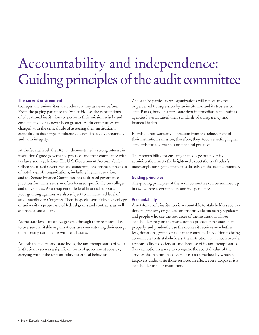# Accountability and independence: Guiding principles of the audit committee

### **The current environment**

Colleges and universities are under scrutiny as never before. From the paying parent to the White House, the expectations of educational institutions to perform their mission wisely and cost-effectively has never been greater. Audit committees are charged with the critical role of assessing their institution's capability to discharge its fiduciary duties effectively, accurately and with integrity.

At the federal level, the IRS has demonstrated a strong interest in institutions' good governance practices and their compliance with tax laws and regulations. The U.S. Government Accountability Office has issued several reports concerning the financial practices of not-for-profit organizations, including higher education, and the Senate Finance Committee has addressed governance practices for many years — often focused specifically on colleges and universities. As a recipient of federal financial support, your granting agencies are also subject to an increased level of accountability to Congress. There is special sensitivity to a college or university's proper use of federal grants and contracts, as well as financial aid dollars.

At the state level, attorneys general, through their responsibility to oversee charitable organizations, are concentrating their energy on enforcing compliance with regulations.

At both the federal and state levels, the tax-exempt status of your institution is seen as a significant form of government subsidy, carrying with it the responsibility for ethical behavior.

As for third parties, news organizations will report any real or perceived transgression by an institution and its trustees or staff. Banks, bond insurers, state debt intermediaries and ratings agencies have all raised their standards of transparency and financial health.

Boards do not want any distraction from the achievement of their institution's mission; therefore, they, too, are setting higher standards for governance and financial practices.

The responsibility for ensuring that college or university administration meets the heightened expectations of today's increasingly stringent climate falls directly on the audit committee.

## **Guiding principles**

The guiding principles of the audit committee can be summed up in two words: accountability and independence.

#### **Accountability**

A not-for-profit institution is accountable to stakeholders such as donors, grantors, organizations that provide financing, regulators and people who use the resources of the institution. Those stakeholders rely on the institution to protect its reputation and properly and prudently use the monies it receives — whether fees, donations, grants or exchange contracts. In addition to being accountable to its stakeholders, the institution has a much broader responsibility to society at large because of its tax-exempt status. Tax exemption is a way to recognize the societal value of the services the institution delivers. It is also a method by which all taxpayers underwrite those services. In effect, every taxpayer is a stakeholder in your institution.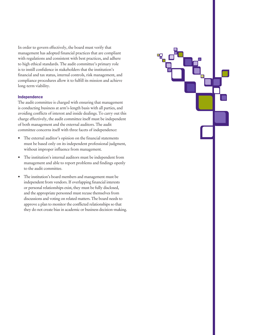In order to govern effectively, the board must verify that management has adopted financial practices that are compliant with regulations and consistent with best practices, and adhere to high ethical standards. The audit committee's primary role is to instill confidence in stakeholders that the institution's financial and tax status, internal controls, risk management, and compliance procedures allow it to fulfill its mission and achieve long-term viability.

#### **Independence**

The audit committee is charged with ensuring that management is conducting business at arm's-length basis with all parties, and avoiding conflicts of interest and inside dealings. To carry out this charge effectively, the audit committee itself must be independent of both management and the external auditors. The audit committee concerns itself with three facets of independence:

- The external auditor's opinion on the financial statements must be based only on its independent professional judgment, without improper influence from management.
- The institution's internal auditors must be independent from management and able to report problems and findings openly to the audit committee.
- The institution's board members and management must be independent from vendors. If overlapping financial interests or personal relationships exist, they must be fully disclosed, and the appropriate personnel must recuse themselves from discussions and voting on related matters. The board needs to approve a plan to monitor the conflicted relationships so that they do not create bias in academic or business decision-making.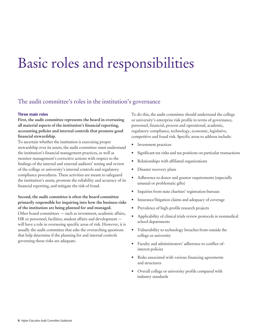# Basic roles and responsibilities

## The audit committee's roles in the institution's governance

## **Three main roles**

**First, the audit committee represents the board in overseeing all material aspects of the institution's financial reporting, accounting policies and internal controls that promote good financial stewardship.** 

To ascertain whether the institution is exercising proper stewardship over its assets, the audit committee must understand the institution's financial management practices, as well as monitor management's corrective actions with respect to the findings of the internal and external auditors' testing and review of the college or university's internal controls and regulatory compliance procedures. These activities are meant to safeguard the institution's assets, promote the reliability and accuracy of its financial reporting, and mitigate the risk of fraud.

**Second, the audit committee is often the board committee primarily responsible for inquiring into how the business risks of the institution are being planned for and managed.**  Other board committees — such as investment, academic affairs, HR or personnel, facilities, student affairs and development will have a role in overseeing specific areas of risk. However, it is usually the audit committee that asks the overarching questions that help determine if the planning for and internal controls

To do this, the audit committee should understand the college or university's enterprise risk profile in terms of governance, personnel, financial, process and operational, academic, regulatory compliance, technology, economic, legislative, competitive and fraud risk. Specific areas to address include:

- Investment practices
- Significant tax risks and tax positions on particular transactions
- Relationships with affiliated organizations
- Disaster recovery plans
- Adherence to donor and grantor requirements (especially unusual or problematic gifts)
- Inquiries from state charities' registration bureaus
- Insurance/litigation claims and adequacy of coverage
- Prevalence of high-profile research projects
- Applicability of clinical trials review protocols in nonmedical school departments
- Vulnerability to technology breaches from outside the college or university
- Faculty and administrators' adherence to conflict-ofinterest policies
- Risks associated with various financing agreements and structures
- Overall college or university profile compared with industry standards

governing those risks are adequate.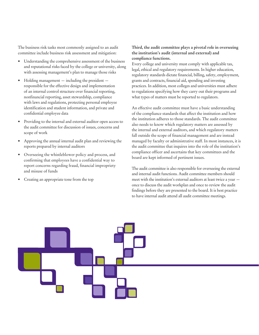The business risk tasks most commonly assigned to an audit committee include business risk assessment and mitigation:

- Understanding the comprehensive assessment of the business and reputational risks faced by the college or university, along with assessing management's plan to manage those risks
- Holding management including the president responsible for the effective design and implementation of an internal control structure over financial reporting, nonfinancial reporting, asset stewardship, compliance with laws and regulations, protecting personal employee identification and student information, and private and confidential employee data
- Providing to the internal and external auditor open access to the audit committee for discussion of issues, concerns and scope of work
- Approving the annual internal audit plan and reviewing the reports prepared by internal auditors
- Overseeing the whistleblower policy and process, and confirming that employees have a confidential way to report concerns regarding fraud, financial impropriety and misuse of funds
- Creating an appropriate tone from the top

## **Third, the audit committee plays a pivotal role in overseeing the institution's audit (internal and external) and compliance functions.**

Every college and university must comply with applicable tax, legal, ethical and regulatory requirements. In higher education, regulatory standards dictate financial, billing, safety, employment, grants and contracts, financial aid, spending and investing practices. In addition, most colleges and universities must adhere to regulations specifying how they carry out their programs and what types of matters must be reported to regulators.

An effective audit committee must have a basic understanding of the compliance standards that affect the institution and how the institution adheres to those standards. The audit committee also needs to know which regulatory matters are assessed by the internal and external auditors, and which regulatory matters fall outside the scope of financial management and are instead managed by faculty or administrative staff. In most instances, it is the audit committee that inquires into the role of the institution's compliance officer and ascertains that key committees and the board are kept informed of pertinent issues.

The audit committee is also responsible for overseeing the external and internal audit functions. Audit committee members should meet with the institution's external auditors at least twice a year once to discuss the audit workplan and once to review the audit findings before they are presented to the board. It is best practice to have internal audit attend all audit committee meetings.

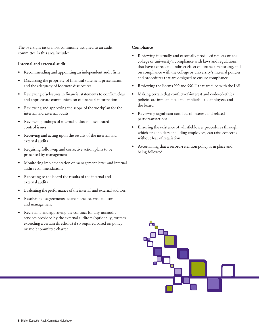The oversight tasks most commonly assigned to an audit committee in this area include:

## **Internal and external audit**

- Recommending and appointing an independent audit firm
- Discussing the propriety of financial statement presentation and the adequacy of footnote disclosures
- Reviewing disclosures in financial statements to confirm clear and appropriate communication of financial information
- Reviewing and approving the scope of the workplan for the internal and external audits
- Reviewing findings of internal audits and associated control issues
- Receiving and acting upon the results of the internal and external audits
- Requiring follow-up and corrective action plans to be presented by management
- Monitoring implementation of management letter and internal audit recommendations
- Reporting to the board the results of the internal and external audits
- Evaluating the performance of the internal and external auditors
- Resolving disagreements between the external auditors and management
- Reviewing and approving the contract for any nonaudit services provided by the external auditors (optionally, for fees exceeding a certain threshold) if so required based on policy or audit committee charter

#### **Compliance**

- Reviewing internally and externally produced reports on the college or university's compliance with laws and regulations that have a direct and indirect effect on financial reporting, and on compliance with the college or university's internal policies and procedures that are designed to ensure compliance
- Reviewing the Forms 990 and 990-T that are filed with the IRS
- Making certain that conflict-of-interest and code-of-ethics policies are implemented and applicable to employees and the board
- Reviewing significant conflicts of interest and relatedparty transactions
- Ensuring the existence of whistleblower procedures through which stakeholders, including employees, can raise concerns without fear of retaliation
- Ascertaining that a record-retention policy is in place and being followed

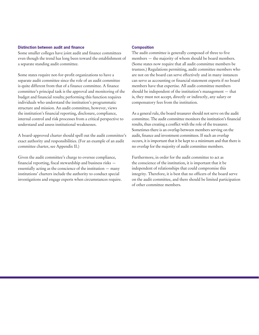#### **Distinction between audit and finance**

Some smaller colleges have joint audit and finance committees even though the trend has long been toward the establishment of a separate standing audit committee.

Some states require not-for-profit organizations to have a separate audit committee since the role of an audit committee is quite different from that of a finance committee. A finance committee's principal task is the approval and monitoring of the budget and financial results; performing this function requires individuals who understand the institution's programmatic structure and mission. An audit committee, however, views the institution's financial reporting, disclosure, compliance, internal control and risk processes from a critical perspective to understand and assess institutional weaknesses.

A board-approved charter should spell out the audit committee's exact authority and responsibilities. (For an example of an audit committee charter, see Appendix II.)

Given the audit committee's charge to oversee compliance, financial reporting, fiscal stewardship and business risks essentially acting as the conscience of the institution — many institutions' charters include the authority to conduct special investigations and engage experts when circumstances require.

### **Composition**

The audit committee is generally composed of three to five members — the majority of whom should be board members. (Some states now require that all audit committee members be trustees.) Regulations permitting, audit committee members who are not on the board can serve effectively and in many instances can serve as accounting or financial statement experts if no board members have that expertise. All audit committee members should be independent of the institution's management — that is, they must not accept, directly or indirectly, any salary or compensatory fees from the institution.

As a general rule, the board treasurer should not serve on the audit committee. The audit committee monitors the institution's financial results, thus creating a conflict with the role of the treasurer. Sometimes there is an overlap between members serving on the audit, finance and investment committees. If such an overlap occurs, it is important that it be kept to a minimum and that there is no overlap for the majority of audit committee members.

Furthermore, in order for the audit committee to act as the conscience of the institution, it is important that it be independent of relationships that could compromise this integrity. Therefore, it is best that no officers of the board serve on the audit committee, and there should be limited participation of other committee members.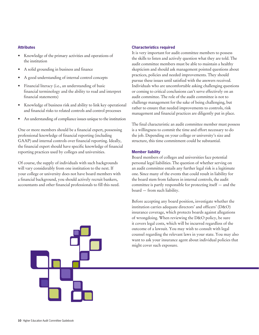### **Attributes**

- Knowledge of the primary activities and operations of the institution
- A solid grounding in business and finance
- A good understanding of internal control concepts
- Financial literacy (i.e., an understanding of basic financial terminology and the ability to read and interpret financial statements)
- Knowledge of business risk and ability to link key operational and financial risks to related controls and control processes
- An understanding of compliance issues unique to the institution

One or more members should be a financial expert, possessing professional knowledge of financial reporting (including GAAP) and internal controls over financial reporting. Ideally, the financial expert should have specific knowledge of financial reporting practices used by colleges and universities.

Of course, the supply of individuals with such backgrounds will vary considerably from one institution to the next. If your college or university does not have board members with a financial background, you should actively recruit bankers, accountants and other financial professionals to fill this need.



### **Characteristics required**

It is very important for audit committee members to possess the skills to listen and actively question what they are told. The audit committee members must be able to maintain a healthy skepticism and should ask management pointed questions about practices, policies and needed improvements. They should pursue these issues until satisfied with the answers received. Individuals who are uncomfortable asking challenging questions or coming to critical conclusions can't serve effectively on an audit committee. The role of the audit committee is not to challenge management for the sake of being challenging, but rather to ensure that needed improvements to controls, risk management and financial practices are diligently put in place.

The final characteristic an audit committee member must possess is a willingness to commit the time and effort necessary to do the job. Depending on your college or university's size and structure, this time commitment could be substantial.

#### **Member liability**

Board members of colleges and universities face potential personal legal liabilities. The question of whether serving on an audit committee entails any further legal risk is a legitimate one. Since many of the events that could result in liability for the board stem from failures in internal controls, the audit committee is partly responsible for protecting itself — and the board — from such liability.

Before accepting any board position, investigate whether the institution carries adequate directors' and officers' (D&O) insurance coverage, which protects boards against allegations of wrongdoing. When reviewing the D&O policy, be sure it covers legal costs, which will be incurred regardless of the outcome of a lawsuit. You may wish to consult with legal counsel regarding the relevant laws in your state. You may also want to ask your insurance agent about individual policies that might cover such exposure.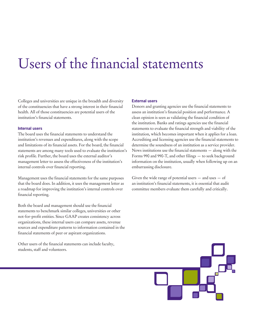## Users of the financial statements

Colleges and universities are unique in the breadth and diversity of the constituencies that have a strong interest in their financial health. All of those constituencies are potential users of the institution's financial statements.

### **Internal users**

The board uses the financial statements to understand the institution's revenues and expenditures, along with the scope and limitations of its financial assets. For the board, the financial statements are among many tools used to evaluate the institution's risk profile. Further, the board uses the external auditor's management letter to assess the effectiveness of the institution's internal controls over financial reporting.

Management uses the financial statements for the same purposes that the board does. In addition, it uses the management letter as a roadmap for improving the institution's internal controls over financial reporting.

Both the board and management should use the financial statements to benchmark similar colleges, universities or other not-for-profit entities. Since GAAP creates consistency across organizations, these internal users can compare assets, revenue sources and expenditure patterns to information contained in the financial statements of peer or aspirant organizations.

Other users of the financial statements can include faculty, students, staff and volunteers.

### **External users**

Donors and granting agencies use the financial statements to assess an institution's financial position and performance. A clean opinion is seen as validating the financial condition of the institution. Banks and ratings agencies use the financial statements to evaluate the financial strength and viability of the institution, which becomes important when it applies for a loan. Accrediting and licensing agencies use the financial statements to determine the soundness of an institution as a service provider. News institutions use the financial statements — along with the Forms 990 and 990-T, and other filings — to seek background information on the institution, usually when following up on an embarrassing disclosure.

Given the wide range of potential users  $-$  and uses  $-$  of an institution's financial statements, it is essential that audit committee members evaluate them carefully and critically.

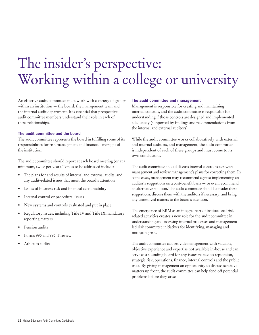## The insider's perspective: Working within a college or university

An effective audit committee must work with a variety of groups within an institution — the board, the management team and the internal audit department. It is essential that prospective audit committee members understand their role in each of these relationships.

### **The audit committee and the board**

The audit committee represents the board in fulfilling some of its responsibilities for risk management and financial oversight of the institution.

The audit committee should report at each board meeting (or at a minimum, twice per year). Topics to be addressed include:

- The plans for and results of internal and external audits, and any audit-related issues that merit the board's attention
- Issues of business risk and financial accountability
- Internal control or procedural issues
- New systems and controls evaluated and put in place
- Regulatory issues, including Title IV and Title IX mandatory reporting matters
- Pension audits
- Forms 990 and 990-T review
- Athletics audits

## **The audit committee and management**

Management is responsible for creating and maintaining internal controls, and the audit committee is responsible for understanding if those controls are designed and implemented adequately (supported by findings and recommendations from the internal and external auditors).

While the audit committee works collaboratively with external and internal auditors, and management, the audit committee is independent of each of these groups and must come to its own conclusions.

The audit committee should discuss internal control issues with management and review management's plans for correcting them. In some cases, management may recommend against implementing an auditor's suggestions on a cost-benefit basis — or even recommend an alternative solution. The audit committee should consider these suggestions, discuss them with the auditors if necessary, and bring any unresolved matters to the board's attention.

The emergence of ERM as an integral part of institutional riskrelated activities creates a new role for the audit committee in understanding and assessing internal processes and managementled risk committee initiatives for identifying, managing and mitigating risk.

The audit committee can provide management with valuable, objective experience and expertise not available in-house and can serve as a sounding board for any issues related to reputation, strategic risk, operations, finance, internal controls and the public trust. By giving management an opportunity to discuss sensitive matters up front, the audit committee can help fend off potential problems before they arise.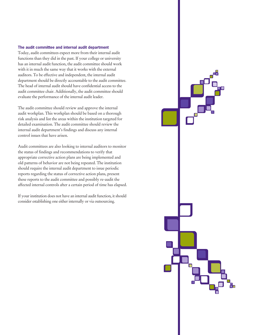#### **The audit committee and internal audit department**

Today, audit committees expect more from their internal audit functions than they did in the past. If your college or university has an internal audit function, the audit committee should work with it in much the same way that it works with the external auditors. To be effective and independent, the internal audit department should be directly accountable to the audit committee. The head of internal audit should have confidential access to the audit committee chair. Additionally, the audit committee should evaluate the performance of the internal audit leader.

The audit committee should review and approve the internal audit workplan. This workplan should be based on a thorough risk analysis and list the areas within the institution targeted for detailed examination. The audit committee should review the internal audit department's findings and discuss any internal control issues that have arisen.

Audit committees are also looking to internal auditors to monitor the status of findings and recommendations to verify that appropriate corrective action plans are being implemented and old patterns of behavior are not being repeated. The institution should require the internal audit department to issue periodic reports regarding the status of corrective action plans, present these reports to the audit committee and possibly re-audit the affected internal controls after a certain period of time has elapsed.

If your institution does not have an internal audit function, it should consider establishing one either internally or via outsourcing.

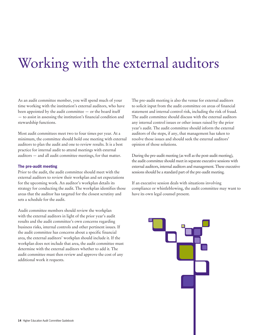## Working with the external auditors

As an audit committee member, you will spend much of your time working with the institution's external auditors, who have been appointed by the audit committee — or the board itself — to assist in assessing the institution's financial condition and stewardship functions.

Most audit committees meet two to four times per year. At a minimum, the committee should hold one meeting with external auditors to plan the audit and one to review results. It is a best practice for internal audit to attend meetings with external auditors — and all audit committee meetings, for that matter.

#### **The pre-audit meeting**

Prior to the audit, the audit committee should meet with the external auditors to review their workplan and set expectations for the upcoming work. An auditor's workplan details its strategy for conducting the audit. The workplan identifies those areas that the auditor has targeted for the closest scrutiny and sets a schedule for the audit.

Audit committee members should review the workplan with the external auditors in light of the prior year's audit results and the audit committee's own concerns regarding business risks, internal controls and other pertinent issues. If the audit committee has concerns about a specific financial area, the external auditors' workplan should include it. If the workplan does not include that area, the audit committee must determine with the external auditors whether to add it. The audit committee must then review and approve the cost of any additional work it requests.

The pre-audit meeting is also the venue for external auditors to solicit input from the audit committee on areas of financial statement and internal control risk, including the risk of fraud. The audit committee should discuss with the external auditors any internal control issues or other issues raised by the prior year's audit. The audit committee should inform the external auditors of the steps, if any, that management has taken to resolve those issues and should seek the external auditors' opinion of those solutions.

During the pre-audit meeting (as well as the post-audit meeting), the audit committee should meet in separate executive sessions with external auditors, internal auditors and management. These executive sessions should be a standard part of the pre-audit meeting.

If an executive session deals with situations involving compliance or whistleblowing, the audit committee may want to have its own legal counsel present.

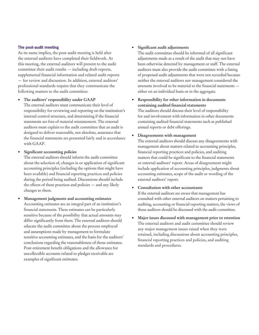#### **The post-audit meeting**

As its name implies, the post-audit meeting is held after the external auditors have completed their fieldwork. At this meeting, the external auditors will present to the audit committee their audit results — including draft reports, supplemental financial information and related audit reports — for review and discussion. In addition, external auditors' professional standards require that they communicate the following matters to the audit committee:

## **• The auditors' responsibility under GAAP**

The external auditors must communicate their level of responsibility for reviewing and reporting on the institution's internal control structure, and determining if the financial statements are free of material misstatement. The external auditors must explain to the audit committee that an audit is designed to deliver reasonable, not absolute, assurance that the financial statements are presented fairly and in accordance with GAAP.

### • **Significant accounting policies**

The external auditors should inform the audit committee about the selection of, changes in or application of significant accounting principles (including the options that might have been available) and financial reporting practices and policies during the period being audited. Discussions should include the effects of these practices and policies — and any likely changes to them.

• **Management judgments and accounting estimates**  Accounting estimates are an integral part of an institution's financial statements. These estimates can be particularly sensitive because of the possibility that actual amounts may differ significantly from them. The external auditors should educate the audit committee about the process employed and assumptions made by management to formulate sensitive accounting estimates, and the basis for the auditors' conclusions regarding the reasonableness of those estimates. Post-retirement benefit obligations and the allowance for uncollectible accounts related to pledges receivable are examples of significant estimates.

#### **• Significant audit adjustments**

The audit committee should be informed of all significant adjustments made as a result of the audit that may not have been otherwise detected by management or staff. The external auditors must also provide the audit committee with a listing of proposed audit adjustments that were not recorded because neither the external auditors nor management considered the amounts involved to be material to the financial statements either on an individual basis or in the aggregate.

**• Responsibility for other information in documents containing audited financial statements**  The auditors should discuss their level of responsibility for and involvement with information in other documents

containing audited financial statements such as published annual reports or debt offerings.

**• Disagreements with management**

The external auditors should discuss any disagreements with management about matters related to accounting principles, financial reporting practices and policies, and auditing matters that could be significant to the financial statements or external auditors' report. Areas of disagreement might include application of accounting principles, judgments about accounting estimates, scope of the audit or wording of the external auditors' report.

## • **Consultation with other accountants**

If the external auditors are aware that management has consulted with other external auditors on matters pertaining to auditing, accounting or financial reporting matters, the views of those auditors should be discussed with the audit committee.

**• Major issues discussed with management prior to retention** The external auditors and audit committee should review any major management issues raised when they were retained, including discussions about accounting principles, financial reporting practices and policies, and auditing standards and procedures.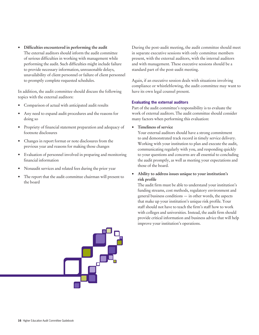**• Difficulties encountered in performing the audit** The external auditors should inform the audit committee of serious difficulties in working with management while performing the audit. Such difficulties might include failure to provide necessary information, unreasonable delays, unavailability of client personnel or failure of client personnel to promptly complete requested schedules.

In addition, the audit committee should discuss the following topics with the external auditors:

- Comparison of actual with anticipated audit results
- Any need to expand audit procedures and the reasons for doing so
- Propriety of financial statement preparation and adequacy of footnote disclosures
- Changes in report format or note disclosures from the previous year and reasons for making those changes
- Evaluation of personnel involved in preparing and monitoring financial information
- Nonaudit services and related fees during the prior year
- The report that the audit committee chairman will present to the board

During the post-audit meeting, the audit committee should meet in separate executive sessions with only committee members present, with the external auditors, with the internal auditors and with management. These executive sessions should be a standard part of the post-audit meeting.

Again, if an executive session deals with situations involving compliance or whistleblowing, the audit committee may want to have its own legal counsel present.

### **Evaluating the external auditors**

Part of the audit committee's responsibility is to evaluate the work of external auditors. The audit committee should consider many factors when performing this evaluation:

**• Timeliness of service** 

Your external auditors should have a strong commitment to and demonstrated track record in timely service delivery. Working with your institution to plan and execute the audit, communicating regularly with you, and responding quickly to your questions and concerns are all essential to concluding the audit promptly, as well as meeting your expectations and those of the board.

**• Ability to address issues unique to your institution's risk profile**

The audit firm must be able to understand your institution's funding streams, cost methods, regulatory environment and general business conditions — in other words, the aspects that make up your institution's unique risk profile. Your staff should not have to teach the firm's staff how to work with colleges and universities. Instead, the audit firm should provide critical information and business advice that will help improve your institution's operations.

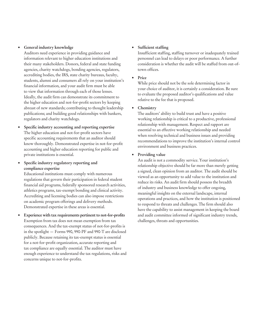## **• General industry knowledge**

Auditors need experience in providing guidance and information relevant to higher education institutions and their many stakeholders. Donors, federal and state funding agencies, charity watchdogs, bonding agencies, regulators, accrediting bodies, the IRS, state charity bureaus, faculty, students, alumni and consumers all rely on your institution's financial information, and your audit firm must be able to view that information through each of those lenses. Ideally, the audit firm can demonstrate its commitment to the higher education and not-for-profit sectors by keeping abreast of new standards; contributing to thought leadership publications; and building good relationships with bankers, regulators and charity watchdogs.

- **• Specific industry accounting and reporting expertise**  The higher education and not-for-profit sectors have specific accounting requirements that an auditor should know thoroughly. Demonstrated expertise in not-for-profit accounting and higher education reporting for public and private institutions is essential.
- **• Specific industry regulatory reporting and compliance expertise**

Educational institutions must comply with numerous regulations that govern their participation in federal student financial aid programs, federally sponsored research activities, athletics programs, tax-exempt bonding and clinical activity. Accrediting and licensing bodies can also impose restrictions on academic program offerings and delivery methods. Demonstrated expertise in these areas is essential.

**• Experience with tax requirements pertinent to not-for-profits** Exemption from tax does not mean exemption from tax consequences. And the tax-exempt status of not-for-profits is in the spotlight — Forms 990, 990-PF and 990-T are disclosed publicly. Because retaining its tax-exempt status is essential for a not-for-profit organization, accurate reporting and tax compliance are equally essential. The auditor must have enough experience to understand the tax regulations, risks and concerns unique to not-for-profits.

## **• Sufficient staffing**

Insufficient staffing, staffing turnover or inadequately trained personnel can lead to delays or poor performance. A further consideration is whether the audit will be staffed from out-oftown offices.

## • **Price**

While price should not be the sole determining factor in your choice of auditor, it is certainly a consideration. Be sure to evaluate the proposed auditor's qualifications and value relative to the fee that is proposed.

## • **Chemistry**

The auditors' ability to build trust and have a positive working relationship is critical to a productive, professional relationship with management. Respect and rapport are essential to an effective working relationship and needed when resolving technical and business issues and providing recommendations to improve the institution's internal control environment and business practices.

## **• Providing value**

An audit is not a commodity service. Your institution's relationship objective should be far more than merely getting a signed, clean opinion from an auditor. The audit should be viewed as an opportunity to add value to the institution and reduce its risks. An audit firm should possess the breadth of industry and business knowledge to offer ongoing, meaningful insights on the external landscape, internal operations and practices, and how the institution is positioned to respond to threats and challenges. The firm should also have the capability to assist management in keeping the board and audit committee informed of significant industry trends, challenges, threats and opportunities.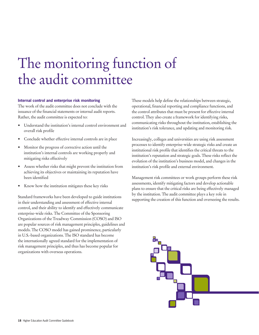## The monitoring function of the audit committee

### **Internal control and enterprise risk monitoring**

The work of the audit committee does not conclude with the issuance of the financial statements or internal audit reports. Rather, the audit committee is expected to:

- Understand the institution's internal control environment and overall risk profile
- Conclude whether effective internal controls are in place
- Monitor the progress of corrective action until the institution's internal controls are working properly and mitigating risks effectively
- Assess whether risks that might prevent the institution from achieving its objectives or maintaining its reputation have been identified
- Know how the institution mitigates these key risks

Standard frameworks have been developed to guide institutions in their understanding and assessment of effective internal control, and their ability to identify and effectively communicate enterprise-wide risks. The Committee of the Sponsoring Organizations of the Treadway Commission (COSO) and ISO are popular sources of risk management principles, guidelines and models. The COSO model has gained prominence, particularly in U.S.-based organizations. The ISO standard has become the internationally agreed standard for the implementation of risk management principles, and thus has become popular for organizations with overseas operations.

These models help define the relationships between strategic, operational, financial reporting and compliance functions, and the control attributes that must be present for effective internal control. They also create a framework for identifying risks, communicating risks throughout the institution, establishing the institution's risk tolerance, and updating and monitoring risk.

Increasingly, colleges and universities are using risk assessment processes to identify enterprise-wide strategic risks and create an institutional risk profile that identifies the critical threats to the institution's reputation and strategic goals. These risks reflect the evolution of the institution's business model, and changes in the institution's risk profile and external environment.

Management risk committees or work groups perform these risk assessments, identify mitigating factors and develop actionable plans to ensure that the critical risks are being effectively managed by the institution. The audit committee plays a key role in supporting the creation of this function and overseeing the results.

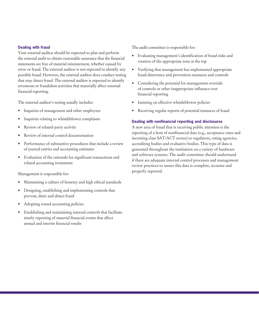#### **Dealing with fraud**

Your external auditor should be expected to plan and perform the external audit to obtain reasonable assurance that the financial statements are free of material misstatement, whether caused by error or fraud. The external auditor is not expected to identify any possible fraud. However, the external auditor does conduct testing that may detect fraud. The external auditor is expected to identify erroneous or fraudulent activities that materially affect external financial reporting.

The external auditor's testing usually includes:

- Inquiries of management and other employees
- Inquiries relating to whistleblower complaints
- Review of related-party activity
- Review of internal control documentation
- Performance of substantive procedures that include a review of journal entries and accounting estimates
- Evaluation of the rationale for significant transactions and related accounting treatments

Management is responsible for:

- Maintaining a culture of honesty and high ethical standards
- Designing, establishing and implementing controls that prevent, deter and detect fraud
- Adopting sound accounting policies
- Establishing and maintaining internal controls that facilitate timely reporting of material financial events that affect annual and interim financial results

The audit committee is responsible for:

- Evaluating management's identification of fraud risks and creation of the appropriate tone at the top
- Verifying that management has implemented appropriate fraud deterrence and prevention measures and controls
- Considering the potential for management override of controls or other inappropriate influence over financial reporting
- Insisting on effective whistleblower policies
- Receiving regular reports of potential instances of fraud

#### **Dealing with nonfinancial reporting and disclosures**

A new area of fraud that is receiving public attention is the reporting of a host of nonfinancial data (e.g., acceptance rates and incoming class SAT/ACT scores) to regulators, rating agencies, accrediting bodies and evaluative bodies. This type of data is generated throughout the institution on a variety of hardware and software systems. The audit committee should understand if there are adequate internal control processes and management review practices to assure this data is complete, accurate and properly reported.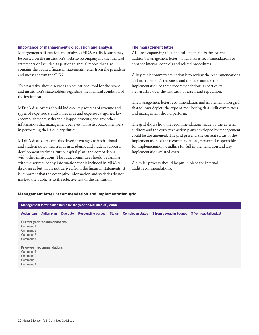#### **Importance of management's discussion and analysis**

Management's discussion and analysis (MD&A) disclosures may be posted on the institution's website accompanying the financial statements or included as part of an annual report that also contains the audited financial statements, letter from the president and message from the CFO.

This narrative should serve as an educational tool for the board and institution's stakeholders regarding the financial condition of the institution.

MD&A disclosures should indicate key sources of revenue and types of expenses; trends in revenue and expense categories; key accomplishments, risks and disappointments; and any other information that management believes will assist board members in performing their fiduciary duties.

MD&A disclosures can also describe changes to institutional and student outcomes, trends in academic and student support, development statistics, future capital plans and comparisons with other institutions. The audit committee should be familiar with the sources of any information that is included in MD&A disclosures but that is not derived from the financial statements. It is important that the descriptive information and statistics do not mislead the public as to the effectiveness of the institution.

### **The management letter**

Also accompanying the financial statements is the external auditor's management letter, which makes recommendations to enhance internal controls and related procedures.

A key audit committee function is to review the recommendations and management's response, and then to monitor the implementation of these recommendations as part of its stewardship over the institution's assets and reputation.

The management letter recommendation and implementation grid that follows depicts the type of monitoring that audit committees and management should perform.

The grid shows how the recommendations made by the external auditors and the corrective action plans developed by management could be documented. The grid presents the current status of the implementation of the recommendations, personnel responsible for implementation, deadline for full implementation and any implementation-related costs.

A similar process should be put in place for internal audit recommendations.

| Management letter action items for the year ended June 30, 20XX |                                     |          |                            |               |                          |                          |                        |  |
|-----------------------------------------------------------------|-------------------------------------|----------|----------------------------|---------------|--------------------------|--------------------------|------------------------|--|
| <b>Action item</b>                                              | <b>Action plan</b>                  | Due date | <b>Responsible parties</b> | <b>Status</b> | <b>Completion status</b> | \$ from operating budget | \$ from capital budget |  |
| Comment 1<br>Comment 2<br>Comment 3<br>Comment 4                | <b>Current-year recommendations</b> |          |                            |               |                          |                          |                        |  |
| Comment 1<br>Comment 2<br>Comment 3<br>Comment 4                | <b>Prior-year recommendations</b>   |          |                            |               |                          |                          |                        |  |

## **Management letter recommendation and implementation grid**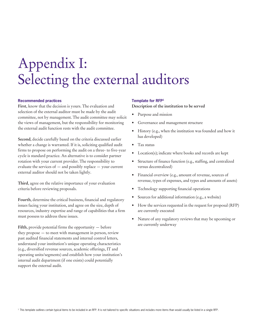# Appendix I: Selecting the external auditors

### **Recommended practices**

**First**, know that the decision is yours. The evaluation and selection of the external auditor must be made by the audit committee, not by management. The audit committee may solicit the views of management, but the responsibility for monitoring the external audit function rests with the audit committee.

**Second**, decide carefully based on the criteria discussed earlier whether a change is warranted. If it is, soliciting qualified audit firms to propose on performing the audit on a three- to five-year cycle is standard practice. An alternative is to consider partner rotation with your current provider. The responsibility to evaluate the services of — and possibly replace — your current external auditor should not be taken lightly.

**Third**, agree on the relative importance of your evaluation criteria before reviewing proposals.

**Fourth**, determine the critical business, financial and regulatory issues facing your institution, and agree on the size, depth of resources, industry expertise and range of capabilities that a firm must possess to address these issues.

**Fifth**, provide potential firms the opportunity — before they propose — to meet with management in person, review past audited financial statements and internal control letters, understand your institution's unique operating characteristics (e.g., diversified revenue sources, academic offerings, IT and operating units/segments) and establish how your institution's internal audit department (if one exists) could potentially support the external audit.

#### **Template for RFP1**

**Description of the institution to be served**

- Purpose and mission
- Governance and management structure
- History (e.g., when the institution was founded and how it has developed)
- Tax status
- Location(s); indicate where books and records are kept
- Structure of finance function (e.g., staffing, and centralized versus decentralized)
- Financial overview (e.g., amount of revenue, sources of revenue, types of expenses, and types and amounts of assets)
- Technology supporting financial operations
- Sources for additional information (e.g., a website)
- How the services requested in the request for proposal (RFP) are currently executed
- Nature of any regulatory reviews that may be upcoming or are currently underway

<sup>1</sup> This template outlines certain typical items to be included in an RFP. It is not tailored to specific situations and includes more items than would usually be listed in a single RFP.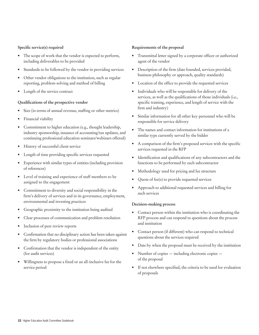## **Specific service(s) required**

- The scope of work that the vendor is expected to perform, including deliverables to be provided
- Standards to be followed by the vendor in providing services
- Other vendor obligations to the institution, such as regular reporting, problem-solving and method of billing
- Length of the service contract

## **Qualifications of the prospective vendor**

- Size (in terms of annual revenue, staffing or other metrics)
- Financial viability
- Commitment to higher education (e.g., thought leadership, industry sponsorship, issuance of accounting/tax updates, and continuing professional education seminars/webinars offered)
- History of successful client service
- Length of time providing specific services requested
- Experience with similar types of entities (including provision of references)
- Level of training and experience of staff members to be assigned to the engagement
- Commitment to diversity and social responsibility in the firm's delivery of services and in its governance, employment, environmental and investing practices
- Geographic proximity to the institution being audited
- Clear processes of communication and problem resolution
- Inclusion of peer review reports
- Confirmation that no disciplinary action has been taken against the firm by regulatory bodies or professional associations
- Confirmation that the vendor is independent of the entity (for audit services)
- Willingness to propose a fixed or an all-inclusive fee for the service period

### **Requirements of the proposal**

- Transmittal letter signed by a corporate officer or authorized agent of the vendor
- Description of the firm (date founded, services provided, business philosophy or approach, quality standards)
- Location of the office to provide the requested services
- Individuals who will be responsible for delivery of the services, as well as the qualifications of those individuals (i.e., specific training, experience, and length of service with the firm and industry)
- Similar information for all other key personnel who will be responsible for service delivery
- The names and contact information for institutions of a similar type currently served by the bidder
- A comparison of the firm's proposed services with the specific services requested in the RFP
- Identification and qualifications of any subcontractors and the functions to be performed by each subcontractor
- Methodology used for pricing and fee structure
- Quote of fee(s) to provide requested services
- Approach to additional requested services and billing for such services

## **Decision-making process**

- Contact person within the institution who is coordinating the RFP process and can respond to questions about the process and institution
- Contact person (if different) who can respond to technical questions about the services required
- Date by when the proposal must be received by the institution
- Number of copies including electronic copies of the proposal
- If not elsewhere specified, the criteria to be used for evaluation of proposals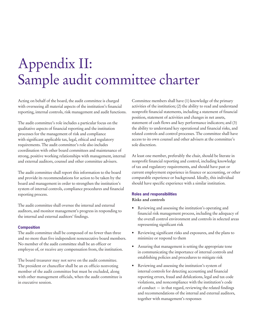# Appendix II: Sample audit committee charter

Acting on behalf of the board, the audit committee is charged with overseeing all material aspects of the institution's financial reporting, internal controls, risk management and audit functions.

The audit committee's role includes a particular focus on the qualitative aspects of financial reporting and the institution processes for the management of risk and compliance with significant applicable tax, legal, ethical and regulatory requirements. The audit committee's role also includes coordination with other board committees and maintenance of strong, positive working relationships with management, internal and external auditors, counsel and other committee advisers.

The audit committee shall report this information to the board and provide its recommendations for action to be taken by the board and management in order to strengthen the institution's system of internal controls, compliance procedures and financial reporting process.

The audit committee shall oversee the internal and external auditors, and monitor management's progress in responding to the internal and external auditors' findings.

#### **Composition**

The audit committee shall be composed of no fewer than three and no more than five independent nonexecutive board members. No member of the audit committee shall be an officer or employee of, or receive any compensation from, the institution.

The board treasurer may not serve on the audit committee. The president or chancellor shall be an ex officio nonvoting member of the audit committee but must be excluded, along with other management officials, when the audit committee is in executive session.

Committee members shall have (1) knowledge of the primary activities of the institution; (2) the ability to read and understand nonprofit financial statements, including a statement of financial position, statement of activities and changes in net assets, statement of cash flows and key performance indicators; and (3) the ability to understand key operational and financial risks, and related controls and control processes. The committee shall have access to its own counsel and other advisers at the committee's sole discretion.

At least one member, preferably the chair, should be literate in nonprofit financial reporting and control, including knowledge of tax and regulatory requirements, and should have past or current employment experience in finance or accounting, or other comparable experience or background. Ideally, this individual should have specific experience with a similar institution.

## **Roles and responsibilities Risks and controls**

- Reviewing and assessing the institution's operating and financial risk management process, including the adequacy of the overall control environment and controls in selected areas representing significant risk
- Reviewing significant risks and exposures, and the plans to minimize or respond to them
- Assuring that management is setting the appropriate tone in communicating the importance of internal controls and establishing policies and procedures to mitigate risk
- Reviewing and assessing the institution's system of internal controls for detecting accounting and financial reporting errors, fraud and defalcations, legal and tax code violations, and noncompliance with the institution's code of conduct — in that regard, reviewing the related findings and recommendations of the internal and external auditors, together with management's responses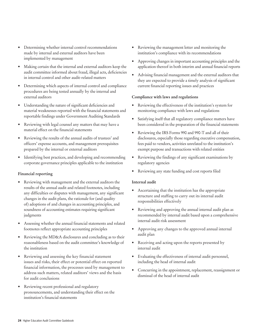- Determining whether internal control recommendations made by internal and external auditors have been implemented by management
- Making certain that the internal and external auditors keep the audit committee informed about fraud, illegal acts, deficiencies in internal control and other audit-related matters
- Determining which aspects of internal control and compliance procedures are being tested annually by the internal and external auditors
- Understanding the nature of significant deficiencies and material weaknesses reported with the financial statements and reportable findings under Government Auditing Standards
- Reviewing with legal counsel any matters that may have a material effect on the financial statements
- Reviewing the results of the annual audits of trustees' and officers' expense accounts, and management prerequisites prepared by the internal or external auditors
- Identifying best practices, and developing and recommending corporate governance principles applicable to the institution

## **Financial reporting**

- Reviewing with management and the external auditors the results of the annual audit and related footnotes, including any difficulties or disputes with management, any significant changes in the audit plans, the rationale for (and quality of) adoptions of and changes in accounting principles, and soundness of accounting estimates requiring significant judgments
- Assessing whether the annual financial statements and related footnotes reflect appropriate accounting principles
- Reviewing the MD&A disclosures and concluding as to their reasonableness based on the audit committee's knowledge of the institution
- Reviewing and assessing the key financial statement issues and risks, their effect or potential effect on reported financial information, the processes used by management to address such matters, related auditors' views and the basis for audit conclusions
- Reviewing recent professional and regulatory pronouncements, and understanding their effect on the institution's financial statements
- Reviewing the management letter and monitoring the institution's compliance with its recommendations
- Approving changes in important accounting principles and the application thereof in both interim and annual financial reports
- Advising financial management and the external auditors that they are expected to provide a timely analysis of significant current financial reporting issues and practices

## **Compliance with laws and regulations**

- Reviewing the effectiveness of the institution's system for monitoring compliance with laws and regulations
- Satisfying itself that all regulatory compliance matters have been considered in the preparation of the financial statements
- Reviewing the IRS Forms 990 and 990-T and all of their disclosures, especially those regarding executive compensation, fees paid to vendors, activities unrelated to the institution's exempt purpose and transactions with related entities
- Reviewing the findings of any significant examinations by regulatory agencies
- Reviewing any state funding and cost reports filed

## **Internal audit**

- Ascertaining that the institution has the appropriate structure and staffing to carry out its internal audit responsibilities effectively
- Reviewing and approving the annual internal audit plan as recommended by internal audit based upon a comprehensive internal audit risk assessment
- Approving any changes to the approved annual internal audit plan
- Receiving and acting upon the reports presented by internal audit
- Evaluating the effectiveness of internal audit personnel, including the head of internal audit
- Concurring in the appointment, replacement, reassignment or dismissal of the head of internal audit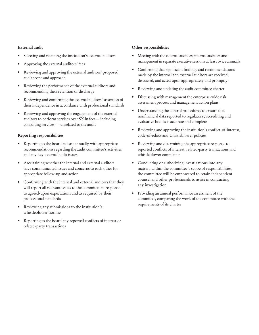## **External audit**

- Selecting and retaining the institution's external auditors
- Approving the external auditors' fees
- Reviewing and approving the external auditors' proposed audit scope and approach
- Reviewing the performance of the external auditors and recommending their retention or discharge
- Reviewing and confirming the external auditors' assertion of their independence in accordance with professional standards
- Reviewing and approving the engagement of the external auditors to perform services over \$X in fees— including consulting services — unrelated to the audit

## **Reporting responsibilities**

- Reporting to the board at least annually with appropriate recommendations regarding the audit committee's activities and any key external audit issues
- Ascertaining whether the internal and external auditors have communicated issues and concerns to each other for appropriate follow-up and action
- Confirming with the internal and external auditors that they will report all relevant issues to the committee in response to agreed-upon expectations and as required by their professional standards
- Reviewing any submissions to the institution's whistleblower hotline
- Reporting to the board any reported conflicts of interest or related-party transactions

## **Other responsibilities**

- Meeting with the external auditors, internal auditors and management in separate executive sessions at least twice annually
- Confirming that significant findings and recommendations made by the internal and external auditors are received, discussed, and acted upon appropriately and promptly
- Reviewing and updating the audit committee charter
- Discussing with management the enterprise-wide risk assessment process and management action plans
- Understanding the control procedures to ensure that nonfinancial data reported to regulatory, accrediting and evaluative bodies is accurate and complete
- Reviewing and approving the institution's conflict-of-interest, code-of-ethics and whistleblower policies
- Reviewing and determining the appropriate response to reported conflicts of interest, related-party transactions and whistleblower complaints
- Conducting or authorizing investigations into any matters within the committee's scope of responsibilities; the committee will be empowered to retain independent counsel and other professionals to assist in conducting any investigation
- Providing an annual performance assessment of the committee, comparing the work of the committee with the requirements of its charter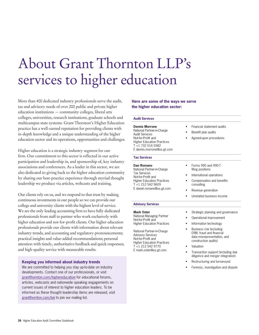## About Grant Thornton LLP's services to higher education

More than 400 dedicated industry professionals serve the audit, tax and advisory needs of over 200 public and private higher education institutions — community colleges, liberal arts colleges, universities, research institutions, graduate schools and multicampus state systems. Grant Thornton's Higher Education practice has a well-earned reputation for providing clients with in-depth knowledge and a unique understanding of the higher education sector and its operations, opportunities and challenges.

Higher education is a strategic industry segment for our firm. Our commitment to this sector is reflected in our active participation and leadership in, and sponsorship of, key industry associations and conferences. As a leader in this sector, we are also dedicated to giving back to the higher education community by sharing our best-practice experience through myriad thought leadership we produce via articles, webcasts and training.

Our clients rely on us, and we respond to that trust by making continuous investments in our people so we can provide our college and university clients with the highest level of service. We are the only leading accounting firm to have fully dedicated professionals from staff to partner who work exclusively with higher education and not-for-profit clients. Our higher education professionals provide our clients with information about relevant industry trends, and accounting and regulatory pronouncements; practical insights and value-added recommendations; personal attention with timely, authoritative feedback and quick responses; and high-quality service with measurable results.

#### **Keeping you informed about industry trends**

We are committed to helping you stay up-to-date on industry developments. Contact one of our professionals, or visit [grantthornton.com/highereducation](http://www.grantthornton.com/highereducation) for educational forums, articles, webcasts and nationwide speaking engagements on current issues of interest to higher education leaders. To be informed as these thought leadership items are released, visit [grantthornton.com/bei](http://www.grantthornton.com/bei) to join our mailing list.

#### **Here are some of the ways we serve the higher education sector:**

| <b>Audit Services</b>                                                                                                                                                                      |                                                                                                                                                                                          |  |  |  |  |  |
|--------------------------------------------------------------------------------------------------------------------------------------------------------------------------------------------|------------------------------------------------------------------------------------------------------------------------------------------------------------------------------------------|--|--|--|--|--|
| <b>Dennis Morrone</b><br>National Partner-in-Charge<br><b>Audit Services</b><br>Not-for-Profit and<br><b>Higher Education Practices</b><br>T +1 732 516 5582<br>E dennis.morrone@us.gt.com | Financial statement audits<br>٠<br>Benefit plan audits<br>$\bullet$<br>Agreed-upon procedures<br>٠                                                                                       |  |  |  |  |  |
| <b>Tax Services</b>                                                                                                                                                                        |                                                                                                                                                                                          |  |  |  |  |  |
| Dan Romano<br>National Partner-in-Charge<br><b>Tax Services</b><br>Not-for-Profit and<br><b>Higher Education Practices</b><br>T +1 212 542 9609<br>E daniel.romano@us.gt.com               | Forms 990 and 990-T<br>٠<br>filing positions<br>International operations<br>٠<br>Compensation and benefits<br>٠<br>consulting<br>Revenue generation<br>Unrelated business income         |  |  |  |  |  |
| <b>Advisory Services</b>                                                                                                                                                                   |                                                                                                                                                                                          |  |  |  |  |  |
| <b>Mark Oster</b><br>National Managing Partner<br>Not-for-Profit and<br><b>Higher Education Practices</b>                                                                                  | Strategic planning and governance<br>٠<br>Operational improvement<br>٠<br>Information technology<br>$\bullet$                                                                            |  |  |  |  |  |
| National Partner-in-Charge<br><b>Advisory Services</b><br>Not-for-Profit and<br><b>Higher Education Practices</b><br>T +1 212 542 9770<br>E mark.oster@us.gt.com                           | $\bullet$<br>Business risk (including<br>ERM, fraud and financial<br>data misrepresentation, and<br>construction audits)<br>Valuation<br>$\bullet$<br>Transaction support lineluding due |  |  |  |  |  |

- Transaction support (including due diligence and merger integration)
- Restructuring and turnaround
- Forensic, investigation and dispute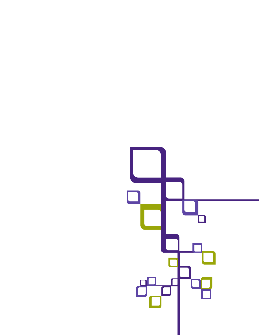